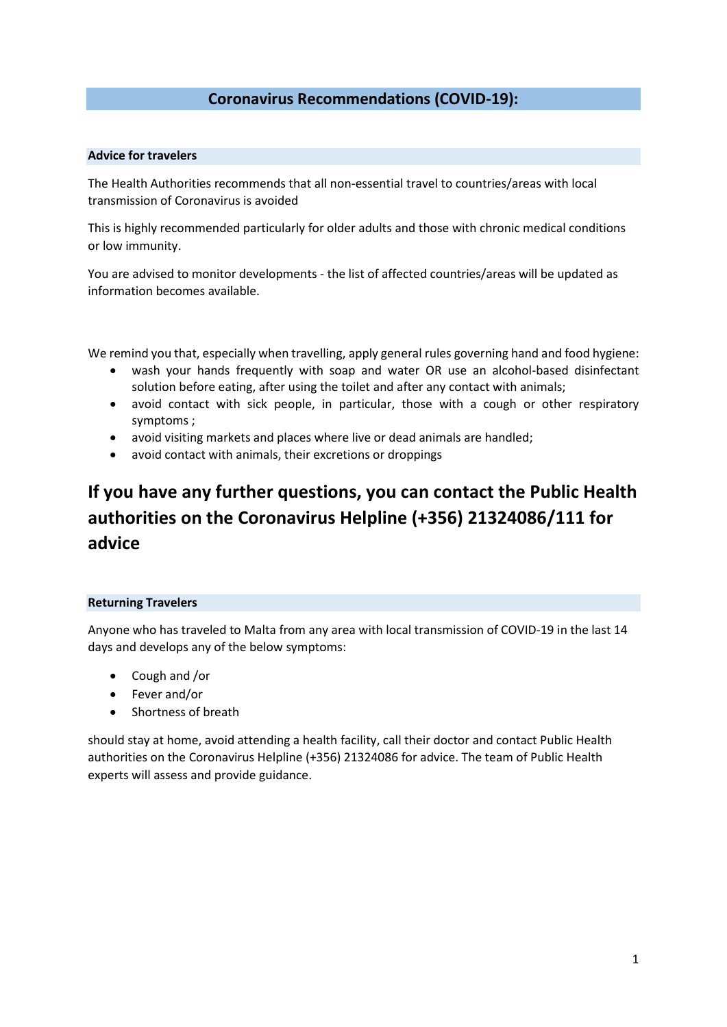## **Coronavirus Recommendations (COVID-19):**

## **Advice for travelers**

The Health Authorities recommends that all non-essential travel to countries/areas with local transmission of Coronavirus is avoided

This is highly recommended particularly for older adults and those with chronic medical conditions or low immunity.

You are advised to monitor developments - the list of affected countries/areas will be updated as information becomes available.

We remind you that, especially when travelling, apply general rules governing hand and food hygiene:

- wash your hands frequently with soap and water OR use an alcohol-based disinfectant solution before eating, after using the toilet and after any contact with animals;
- avoid contact with sick people, in particular, those with a cough or other respiratory symptoms ;
- avoid visiting markets and places where live or dead animals are handled;
- avoid contact with animals, their excretions or droppings

# **If you have any further questions, you can contact the Public Health authorities on the Coronavirus Helpline (+356) 21324086/111 for advice**

## **Returning Travelers**

Anyone who has traveled to Malta from any area with local transmission of COVID-19 in the last 14 days and develops any of the below symptoms:

- Cough and /or
- Fever and/or
- Shortness of breath

should stay at home, avoid attending a health facility, call their doctor and contact Public Health authorities on the Coronavirus Helpline (+356) 21324086 for advice. The team of Public Health experts will assess and provide guidance.